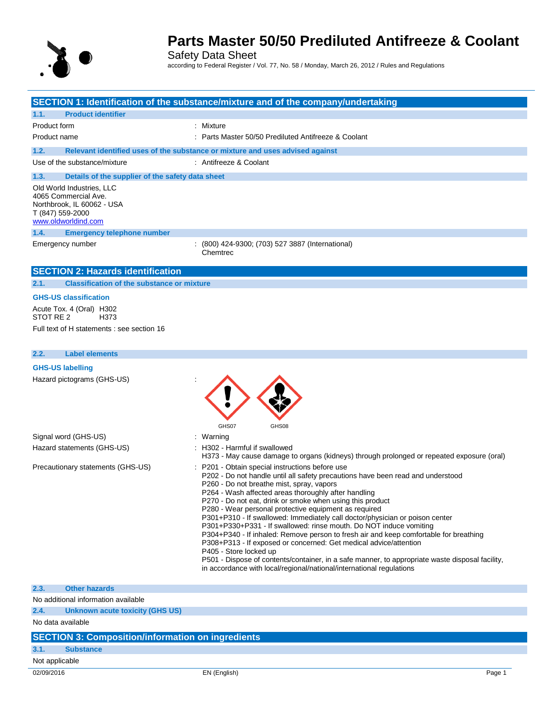

Safety Data Sheet according to Federal Register / Vol. 77, No. 58 / Monday, March 26, 2012 / Rules and Regulations

|                                                                                                                            | SECTION 1: Identification of the substance/mixture and of the company/undertaking                                                                                                                                                                                                                                                                                                                                                                                                                                                                                                                                                                                                                                                                                                                                                                                                                                                                                                   |
|----------------------------------------------------------------------------------------------------------------------------|-------------------------------------------------------------------------------------------------------------------------------------------------------------------------------------------------------------------------------------------------------------------------------------------------------------------------------------------------------------------------------------------------------------------------------------------------------------------------------------------------------------------------------------------------------------------------------------------------------------------------------------------------------------------------------------------------------------------------------------------------------------------------------------------------------------------------------------------------------------------------------------------------------------------------------------------------------------------------------------|
|                                                                                                                            |                                                                                                                                                                                                                                                                                                                                                                                                                                                                                                                                                                                                                                                                                                                                                                                                                                                                                                                                                                                     |
| <b>Product identifier</b><br>1.1.<br>Product form                                                                          | : Mixture                                                                                                                                                                                                                                                                                                                                                                                                                                                                                                                                                                                                                                                                                                                                                                                                                                                                                                                                                                           |
| Product name                                                                                                               | : Parts Master 50/50 Prediluted Antifreeze & Coolant                                                                                                                                                                                                                                                                                                                                                                                                                                                                                                                                                                                                                                                                                                                                                                                                                                                                                                                                |
|                                                                                                                            |                                                                                                                                                                                                                                                                                                                                                                                                                                                                                                                                                                                                                                                                                                                                                                                                                                                                                                                                                                                     |
| 1.2.                                                                                                                       | Relevant identified uses of the substance or mixture and uses advised against                                                                                                                                                                                                                                                                                                                                                                                                                                                                                                                                                                                                                                                                                                                                                                                                                                                                                                       |
| Use of the substance/mixture                                                                                               | : Antifreeze & Coolant                                                                                                                                                                                                                                                                                                                                                                                                                                                                                                                                                                                                                                                                                                                                                                                                                                                                                                                                                              |
| 1.3.<br>Details of the supplier of the safety data sheet                                                                   |                                                                                                                                                                                                                                                                                                                                                                                                                                                                                                                                                                                                                                                                                                                                                                                                                                                                                                                                                                                     |
| Old World Industries, LLC<br>4065 Commercial Ave.<br>Northbrook, IL 60062 - USA<br>T (847) 559-2000<br>www.oldworldind.com |                                                                                                                                                                                                                                                                                                                                                                                                                                                                                                                                                                                                                                                                                                                                                                                                                                                                                                                                                                                     |
| 1.4.<br><b>Emergency telephone number</b>                                                                                  |                                                                                                                                                                                                                                                                                                                                                                                                                                                                                                                                                                                                                                                                                                                                                                                                                                                                                                                                                                                     |
| Emergency number                                                                                                           | : (800) 424-9300; (703) 527 3887 (International)<br>Chemtrec                                                                                                                                                                                                                                                                                                                                                                                                                                                                                                                                                                                                                                                                                                                                                                                                                                                                                                                        |
| <b>SECTION 2: Hazards identification</b>                                                                                   |                                                                                                                                                                                                                                                                                                                                                                                                                                                                                                                                                                                                                                                                                                                                                                                                                                                                                                                                                                                     |
| <b>Classification of the substance or mixture</b><br>2.1.                                                                  |                                                                                                                                                                                                                                                                                                                                                                                                                                                                                                                                                                                                                                                                                                                                                                                                                                                                                                                                                                                     |
| <b>GHS-US classification</b>                                                                                               |                                                                                                                                                                                                                                                                                                                                                                                                                                                                                                                                                                                                                                                                                                                                                                                                                                                                                                                                                                                     |
| Acute Tox. 4 (Oral) H302<br>STOT RE <sub>2</sub><br>H <sub>3</sub> 73                                                      |                                                                                                                                                                                                                                                                                                                                                                                                                                                                                                                                                                                                                                                                                                                                                                                                                                                                                                                                                                                     |
| Full text of H statements : see section 16                                                                                 |                                                                                                                                                                                                                                                                                                                                                                                                                                                                                                                                                                                                                                                                                                                                                                                                                                                                                                                                                                                     |
|                                                                                                                            |                                                                                                                                                                                                                                                                                                                                                                                                                                                                                                                                                                                                                                                                                                                                                                                                                                                                                                                                                                                     |
| <b>Label elements</b><br>2.2.                                                                                              |                                                                                                                                                                                                                                                                                                                                                                                                                                                                                                                                                                                                                                                                                                                                                                                                                                                                                                                                                                                     |
| <b>GHS-US labelling</b>                                                                                                    |                                                                                                                                                                                                                                                                                                                                                                                                                                                                                                                                                                                                                                                                                                                                                                                                                                                                                                                                                                                     |
| Hazard pictograms (GHS-US)                                                                                                 | GHS07<br>GHS08                                                                                                                                                                                                                                                                                                                                                                                                                                                                                                                                                                                                                                                                                                                                                                                                                                                                                                                                                                      |
| Signal word (GHS-US)                                                                                                       | : Warning                                                                                                                                                                                                                                                                                                                                                                                                                                                                                                                                                                                                                                                                                                                                                                                                                                                                                                                                                                           |
| Hazard statements (GHS-US)                                                                                                 | : H302 - Harmful if swallowed                                                                                                                                                                                                                                                                                                                                                                                                                                                                                                                                                                                                                                                                                                                                                                                                                                                                                                                                                       |
| Precautionary statements (GHS-US)                                                                                          | H373 - May cause damage to organs (kidneys) through prolonged or repeated exposure (oral)<br>: P201 - Obtain special instructions before use<br>P202 - Do not handle until all safety precautions have been read and understood<br>P260 - Do not breathe mist, spray, vapors<br>P264 - Wash affected areas thoroughly after handling<br>P270 - Do not eat, drink or smoke when using this product<br>P280 - Wear personal protective equipment as required<br>P301+P310 - If swallowed: Immediately call doctor/physician or poison center<br>P301+P330+P331 - If swallowed: rinse mouth. Do NOT induce vomiting<br>P304+P340 - If inhaled: Remove person to fresh air and keep comfortable for breathing<br>P308+P313 - If exposed or concerned: Get medical advice/attention<br>P405 - Store locked up<br>P501 - Dispose of contents/container, in a safe manner, to appropriate waste disposal facility,<br>in accordance with local/regional/national/international regulations |
| 2.3.<br><b>Other hazards</b>                                                                                               |                                                                                                                                                                                                                                                                                                                                                                                                                                                                                                                                                                                                                                                                                                                                                                                                                                                                                                                                                                                     |
| No additional information available                                                                                        |                                                                                                                                                                                                                                                                                                                                                                                                                                                                                                                                                                                                                                                                                                                                                                                                                                                                                                                                                                                     |
| 2.4.<br><b>Unknown acute toxicity (GHS US)</b>                                                                             |                                                                                                                                                                                                                                                                                                                                                                                                                                                                                                                                                                                                                                                                                                                                                                                                                                                                                                                                                                                     |
| No data available                                                                                                          |                                                                                                                                                                                                                                                                                                                                                                                                                                                                                                                                                                                                                                                                                                                                                                                                                                                                                                                                                                                     |
| <b>SECTION 3: Composition/information on ingredients</b>                                                                   |                                                                                                                                                                                                                                                                                                                                                                                                                                                                                                                                                                                                                                                                                                                                                                                                                                                                                                                                                                                     |

### **3.1. Substance**

Not applicable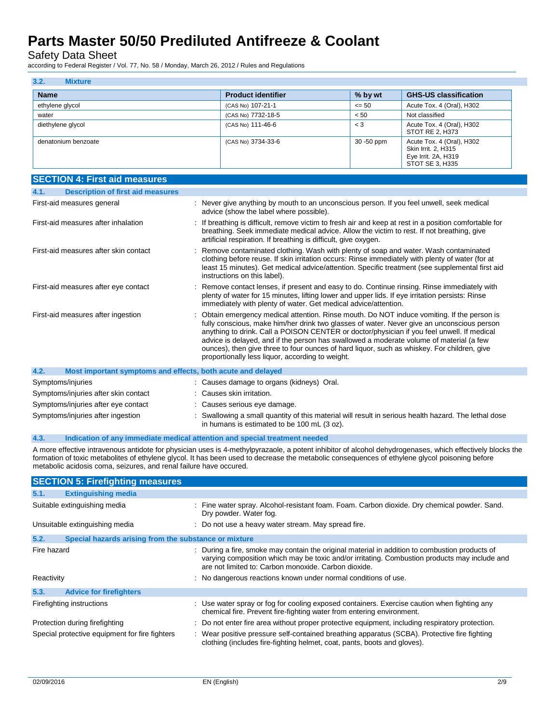Safety Data Sheet

according to Federal Register / Vol. 77, No. 58 / Monday, March 26, 2012 / Rules and Regulations

| 3.2.<br><b>Mixture</b> |                           |            |                                                                                            |
|------------------------|---------------------------|------------|--------------------------------------------------------------------------------------------|
| <b>Name</b>            | <b>Product identifier</b> | % by wt    | <b>GHS-US classification</b>                                                               |
| ethylene glycol        | (CAS No) 107-21-1         | $\leq 50$  | Acute Tox. 4 (Oral), H302                                                                  |
| water                  | (CAS No) 7732-18-5        | < 50       | Not classified                                                                             |
| diethylene glycol      | (CAS No) 111-46-6         | $<$ 3      | Acute Tox. 4 (Oral), H302<br>STOT RE 2, H373                                               |
| denatonium benzoate    | (CAS No) 3734-33-6        | 30 -50 ppm | Acute Tox. 4 (Oral), H302<br>Skin Irrit. 2, H315<br>Eye Irrit. 2A, H319<br>STOT SE 3, H335 |

| <b>SECTION 4: First aid measures</b>                                |                                                                                                                                                                                                                                                                                                                                                                                                                                                                                                                                     |
|---------------------------------------------------------------------|-------------------------------------------------------------------------------------------------------------------------------------------------------------------------------------------------------------------------------------------------------------------------------------------------------------------------------------------------------------------------------------------------------------------------------------------------------------------------------------------------------------------------------------|
| <b>Description of first aid measures</b><br>4.1.                    |                                                                                                                                                                                                                                                                                                                                                                                                                                                                                                                                     |
| First-aid measures general                                          | : Never give anything by mouth to an unconscious person. If you feel unwell, seek medical<br>advice (show the label where possible).                                                                                                                                                                                                                                                                                                                                                                                                |
| First-aid measures after inhalation                                 | : If breathing is difficult, remove victim to fresh air and keep at rest in a position comfortable for<br>breathing. Seek immediate medical advice. Allow the victim to rest. If not breathing, give<br>artificial respiration. If breathing is difficult, give oxygen.                                                                                                                                                                                                                                                             |
| First-aid measures after skin contact                               | Remove contaminated clothing. Wash with plenty of soap and water. Wash contaminated<br>clothing before reuse. If skin irritation occurs: Rinse immediately with plenty of water (for at<br>least 15 minutes). Get medical advice/attention. Specific treatment (see supplemental first aid<br>instructions on this label).                                                                                                                                                                                                          |
| First-aid measures after eye contact                                | : Remove contact lenses, if present and easy to do. Continue rinsing. Rinse immediately with<br>plenty of water for 15 minutes, lifting lower and upper lids. If eye irritation persists: Rinse<br>immediately with plenty of water. Get medical advice/attention.                                                                                                                                                                                                                                                                  |
| First-aid measures after ingestion                                  | Obtain emergency medical attention. Rinse mouth. Do NOT induce vomiting. If the person is<br>fully conscious, make him/her drink two glasses of water. Never give an unconscious person<br>anything to drink. Call a POISON CENTER or doctor/physician if you feel unwell. If medical<br>advice is delayed, and if the person has swallowed a moderate volume of material (a few<br>ounces), then give three to four ounces of hard liquor, such as whiskey. For children, give<br>proportionally less liquor, according to weight. |
| 4.2.<br>Most important symptoms and effects, both acute and delayed |                                                                                                                                                                                                                                                                                                                                                                                                                                                                                                                                     |
| Symptoms/injuries                                                   | : Causes damage to organs (kidneys) Oral.                                                                                                                                                                                                                                                                                                                                                                                                                                                                                           |
| Symptoms/injuries after skin contact                                | : Causes skin irritation.                                                                                                                                                                                                                                                                                                                                                                                                                                                                                                           |
| Symptoms/injuries after eye contact                                 | : Causes serious eye damage.                                                                                                                                                                                                                                                                                                                                                                                                                                                                                                        |
| Symptoms/injuries after ingestion                                   | Swallowing a small quantity of this material will result in serious health hazard. The lethal dose<br>in humans is estimated to be 100 mL (3 oz).                                                                                                                                                                                                                                                                                                                                                                                   |

#### **4.3. Indication of any immediate medical attention and special treatment needed**

A more effective intravenous antidote for physician uses is 4-methylpyrazaole, a potent inhibitor of alcohol dehydrogenases, which effectively blocks the formation of toxic metabolites of ethylene glycol. It has been used to decrease the metabolic consequences of ethylene glycol poisoning before metabolic acidosis coma, seizures, and renal failure have occured.

|             | <b>SECTION 5: Firefighting measures</b>               |                                                                                                                                                                                                                                                         |
|-------------|-------------------------------------------------------|---------------------------------------------------------------------------------------------------------------------------------------------------------------------------------------------------------------------------------------------------------|
| 5.1.        | <b>Extinguishing media</b>                            |                                                                                                                                                                                                                                                         |
|             | Suitable extinguishing media                          | : Fine water spray. Alcohol-resistant foam. Foam. Carbon dioxide. Dry chemical powder. Sand.<br>Dry powder. Water fog.                                                                                                                                  |
|             | Unsuitable extinguishing media                        | : Do not use a heavy water stream. May spread fire.                                                                                                                                                                                                     |
| 5.2.        | Special hazards arising from the substance or mixture |                                                                                                                                                                                                                                                         |
| Fire hazard |                                                       | : During a fire, smoke may contain the original material in addition to combustion products of<br>varying composition which may be toxic and/or irritating. Combustion products may include and<br>are not limited to: Carbon monoxide. Carbon dioxide. |
| Reactivity  |                                                       | : No dangerous reactions known under normal conditions of use.                                                                                                                                                                                          |
| 5.3.        | <b>Advice for firefighters</b>                        |                                                                                                                                                                                                                                                         |
|             | Firefighting instructions                             | : Use water spray or fog for cooling exposed containers. Exercise caution when fighting any<br>chemical fire. Prevent fire-fighting water from entering environment.                                                                                    |
|             | Protection during firefighting                        | : Do not enter fire area without proper protective equipment, including respiratory protection.                                                                                                                                                         |
|             | Special protective equipment for fire fighters        | : Wear positive pressure self-contained breathing apparatus (SCBA). Protective fire fighting<br>clothing (includes fire-fighting helmet, coat, pants, boots and gloves).                                                                                |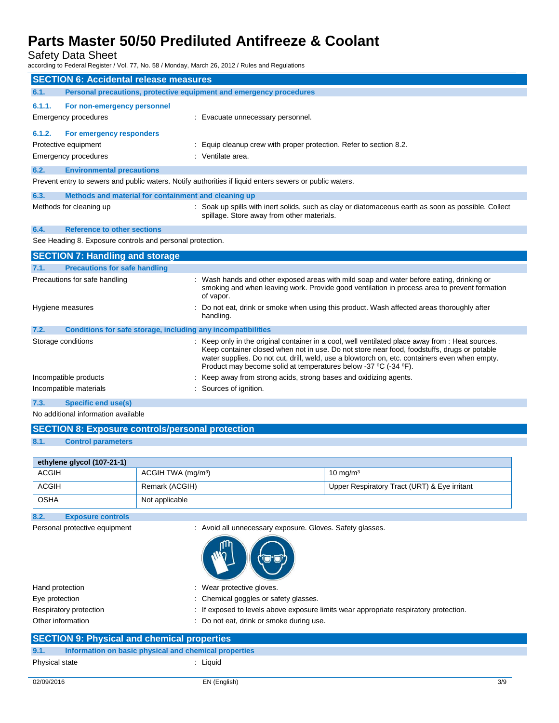Safety Data Sheet

according to Federal Register / Vol. 77, No. 58 / Monday, March 26, 2012 / Rules and Regulations

|                                                           | <b>SECTION 6: Accidental release measures</b>                                                           |                                                                                                                                                                                                                                                                                                                                                                     |  |  |
|-----------------------------------------------------------|---------------------------------------------------------------------------------------------------------|---------------------------------------------------------------------------------------------------------------------------------------------------------------------------------------------------------------------------------------------------------------------------------------------------------------------------------------------------------------------|--|--|
| 6.1.                                                      | Personal precautions, protective equipment and emergency procedures                                     |                                                                                                                                                                                                                                                                                                                                                                     |  |  |
| 6.1.1.                                                    | For non-emergency personnel                                                                             |                                                                                                                                                                                                                                                                                                                                                                     |  |  |
|                                                           | Emergency procedures                                                                                    | : Evacuate unnecessary personnel.                                                                                                                                                                                                                                                                                                                                   |  |  |
| 6.1.2.                                                    | For emergency responders                                                                                |                                                                                                                                                                                                                                                                                                                                                                     |  |  |
|                                                           | Protective equipment                                                                                    | : Equip cleanup crew with proper protection. Refer to section 8.2.                                                                                                                                                                                                                                                                                                  |  |  |
|                                                           | <b>Emergency procedures</b>                                                                             | : Ventilate area.                                                                                                                                                                                                                                                                                                                                                   |  |  |
| 6.2.                                                      | <b>Environmental precautions</b>                                                                        |                                                                                                                                                                                                                                                                                                                                                                     |  |  |
|                                                           | Prevent entry to sewers and public waters. Notify authorities if liquid enters sewers or public waters. |                                                                                                                                                                                                                                                                                                                                                                     |  |  |
| 6.3.                                                      | Methods and material for containment and cleaning up                                                    |                                                                                                                                                                                                                                                                                                                                                                     |  |  |
|                                                           | Methods for cleaning up                                                                                 | : Soak up spills with inert solids, such as clay or diatomaceous earth as soon as possible. Collect<br>spillage. Store away from other materials.                                                                                                                                                                                                                   |  |  |
| 6.4.                                                      | <b>Reference to other sections</b>                                                                      |                                                                                                                                                                                                                                                                                                                                                                     |  |  |
| See Heading 8. Exposure controls and personal protection. |                                                                                                         |                                                                                                                                                                                                                                                                                                                                                                     |  |  |
|                                                           | <b>SECTION 7: Handling and storage</b>                                                                  |                                                                                                                                                                                                                                                                                                                                                                     |  |  |
| 7.1.                                                      | <b>Precautions for safe handling</b>                                                                    |                                                                                                                                                                                                                                                                                                                                                                     |  |  |
|                                                           | Precautions for safe handling                                                                           | : Wash hands and other exposed areas with mild soap and water before eating, drinking or<br>smoking and when leaving work. Provide good ventilation in process area to prevent formation<br>of vapor.                                                                                                                                                               |  |  |
|                                                           | Hygiene measures                                                                                        | Do not eat, drink or smoke when using this product. Wash affected areas thoroughly after<br>handling.                                                                                                                                                                                                                                                               |  |  |
| 7.2.                                                      | Conditions for safe storage, including any incompatibilities                                            |                                                                                                                                                                                                                                                                                                                                                                     |  |  |
|                                                           | Storage conditions                                                                                      | : Keep only in the original container in a cool, well ventilated place away from : Heat sources.<br>Keep container closed when not in use. Do not store near food, foodstuffs, drugs or potable<br>water supplies. Do not cut, drill, weld, use a blowtorch on, etc. containers even when empty.<br>Product may become solid at temperatures below -37 °C (-34 °F). |  |  |
|                                                           | Incompatible products                                                                                   | : Keep away from strong acids, strong bases and oxidizing agents.                                                                                                                                                                                                                                                                                                   |  |  |
|                                                           | Incompatible materials                                                                                  | : Sources of ignition.                                                                                                                                                                                                                                                                                                                                              |  |  |
| 7.3.                                                      | <b>Specific end use(s)</b>                                                                              |                                                                                                                                                                                                                                                                                                                                                                     |  |  |

No additional information available

| <b>SECTION 8: Exposure controls/personal protection</b> |  |  |  |  |
|---------------------------------------------------------|--|--|--|--|
|---------------------------------------------------------|--|--|--|--|

**8.1. Control parameters**

| ethylene glycol (107-21-1) |                                |                                              |
|----------------------------|--------------------------------|----------------------------------------------|
| <b>ACGIH</b>               | ACGIH TWA (mg/m <sup>3</sup> ) | 10 mg/m $3$                                  |
| <b>ACGIH</b>               | Remark (ACGIH)                 | Upper Respiratory Tract (URT) & Eye irritant |
| <b>OSHA</b>                | Not applicable                 |                                              |

**8.2. Exposure controls**

Personal protective equipment : Avoid all unnecessary exposure. Gloves. Safety glasses.



Hand protection **in the case of the contract of the CO** is wear protective gloves. Eye protection  $\qquad \qquad : \qquad$  Chemical goggles or safety glasses. Respiratory protection : If exposed to levels above exposure limits wear appropriate respiratory protection. Other information **COLO EXECUTE:** Do not eat, drink or smoke during use.

### **SECTION 9: Physical and chemical properties**

```
Physical state : Liquid
```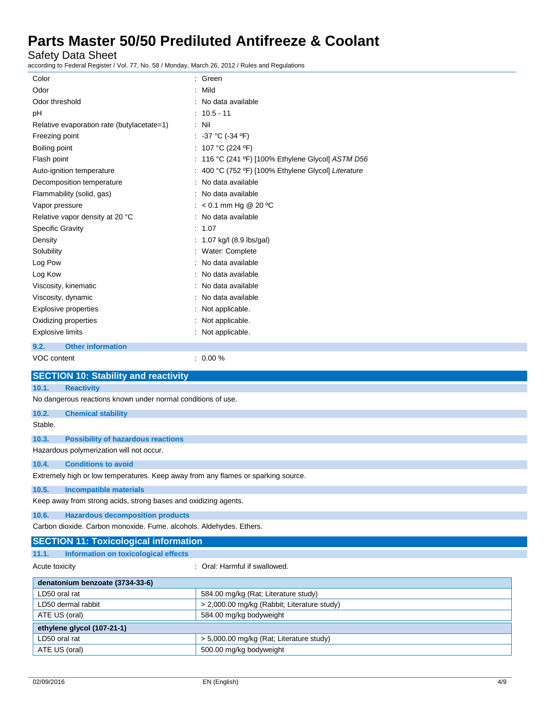Safety Data Sheet

according to Federal Register / Vol. 77, No. 58 / Monday, March 26, 2012 / Rules and Regulations

| Color                                                                             | : Green                                             |  |
|-----------------------------------------------------------------------------------|-----------------------------------------------------|--|
| Odor                                                                              | : Mild                                              |  |
| Odor threshold                                                                    | : No data available                                 |  |
| pH                                                                                | : 10.5 - 11                                         |  |
| Relative evaporation rate (butylacetate=1)                                        | : Nil                                               |  |
| Freezing point                                                                    | : $-37 °C (-34 °F)$                                 |  |
| Boiling point                                                                     | : 107 °C (224 °F)                                   |  |
| Flash point                                                                       | : 116 °C (241 °F) [100% Ethylene Glycol] ASTM D56   |  |
| Auto-ignition temperature                                                         | : 400 °C (752 °F) [100% Ethylene Glycol] Literature |  |
| Decomposition temperature                                                         | : No data available                                 |  |
| Flammability (solid, gas)                                                         | : No data available                                 |  |
| Vapor pressure                                                                    | : $< 0.1$ mm Hg @ 20 °C                             |  |
| Relative vapor density at 20 °C                                                   | : No data available                                 |  |
| <b>Specific Gravity</b>                                                           | : 1.07                                              |  |
| Density                                                                           | : 1.07 kg/l (8.9 lbs/gal)                           |  |
| Solubility                                                                        | : Water: Complete                                   |  |
| Log Pow                                                                           | No data available                                   |  |
| Log Kow                                                                           | : No data available                                 |  |
| Viscosity, kinematic                                                              | : No data available                                 |  |
| Viscosity, dynamic                                                                | : No data available                                 |  |
| <b>Explosive properties</b>                                                       | : Not applicable.                                   |  |
| Oxidizing properties                                                              | : Not applicable.                                   |  |
| <b>Explosive limits</b>                                                           | : Not applicable.                                   |  |
|                                                                                   |                                                     |  |
| 9.2.<br><b>Other information</b>                                                  |                                                     |  |
| VOC content                                                                       | $: 0.00 \%$                                         |  |
| <b>SECTION 10: Stability and reactivity</b>                                       |                                                     |  |
| 10.1.<br><b>Reactivity</b>                                                        |                                                     |  |
| No dangerous reactions known under normal conditions of use.                      |                                                     |  |
| 10.2.<br><b>Chemical stability</b>                                                |                                                     |  |
| Stable.                                                                           |                                                     |  |
| 10.3.<br><b>Possibility of hazardous reactions</b>                                |                                                     |  |
| Hazardous polymerization will not occur.                                          |                                                     |  |
|                                                                                   |                                                     |  |
| 10.4.<br><b>Conditions to avoid</b>                                               |                                                     |  |
| Extremely high or low temperatures. Keep away from any flames or sparking source. |                                                     |  |
| <b>Incompatible materials</b><br>10.5.                                            |                                                     |  |
| Keep away from strong acids, strong bases and oxidizing agents.                   |                                                     |  |
| <b>Hazardous decomposition products</b><br>10.6.                                  |                                                     |  |
| Carbon dioxide. Carbon monoxide. Fume. alcohols. Aldehydes. Ethers.               |                                                     |  |
| <b>SECTION 11: Toxicological information</b>                                      |                                                     |  |
| <b>Information on toxicological effects</b><br>11.1.                              |                                                     |  |
| Acute toxicity                                                                    | : Oral: Harmful if swallowed.                       |  |
|                                                                                   |                                                     |  |
| denatonium benzoate (3734-33-6)                                                   |                                                     |  |
| LD50 oral rat                                                                     | 584.00 mg/kg (Rat; Literature study)                |  |
| LD50 dermal rabbit                                                                | > 2,000.00 mg/kg (Rabbit; Literature study)         |  |
| ATE US (oral)                                                                     | 584.00 mg/kg bodyweight                             |  |
| ethylene glycol (107-21-1)                                                        |                                                     |  |

LD50 oral rat  $\vert$  > 5,000.00 mg/kg (Rat; Literature study)

ATE US (oral) 600.00 mg/kg bodyweight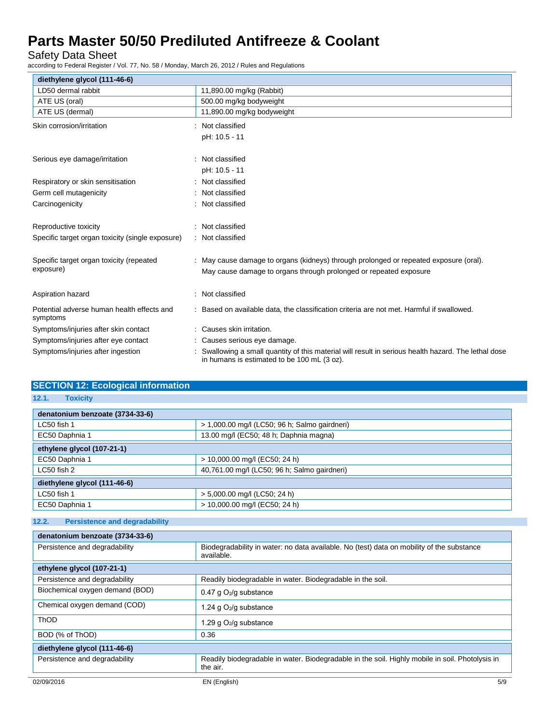Safety Data Sheet

according to Federal Register / Vol. 77, No. 58 / Monday, March 26, 2012 / Rules and Regulations

| diethylene glycol (111-46-6)                           |                                                                                                                                                   |
|--------------------------------------------------------|---------------------------------------------------------------------------------------------------------------------------------------------------|
| LD50 dermal rabbit                                     | 11,890.00 mg/kg (Rabbit)                                                                                                                          |
| ATE US (oral)                                          | 500.00 mg/kg bodyweight                                                                                                                           |
| ATE US (dermal)                                        | 11,890.00 mg/kg bodyweight                                                                                                                        |
| Skin corrosion/irritation                              | Not classified                                                                                                                                    |
|                                                        | pH: 10.5 - 11                                                                                                                                     |
| Serious eye damage/irritation                          | Not classified                                                                                                                                    |
|                                                        | pH: 10.5 - 11                                                                                                                                     |
| Respiratory or skin sensitisation                      | Not classified                                                                                                                                    |
| Germ cell mutagenicity                                 | Not classified                                                                                                                                    |
| Carcinogenicity                                        | Not classified                                                                                                                                    |
| Reproductive toxicity                                  | Not classified                                                                                                                                    |
| Specific target organ toxicity (single exposure)       | Not classified                                                                                                                                    |
| Specific target organ toxicity (repeated               | May cause damage to organs (kidneys) through prolonged or repeated exposure (oral).                                                               |
| exposure)                                              | May cause damage to organs through prolonged or repeated exposure                                                                                 |
| Aspiration hazard                                      | Not classified                                                                                                                                    |
| Potential adverse human health effects and<br>symptoms | Based on available data, the classification criteria are not met. Harmful if swallowed.                                                           |
| Symptoms/injuries after skin contact                   | Causes skin irritation.                                                                                                                           |
| Symptoms/injuries after eye contact                    | Causes serious eye damage.                                                                                                                        |
| Symptoms/injuries after ingestion                      | Swallowing a small quantity of this material will result in serious health hazard. The lethal dose<br>in humans is estimated to be 100 mL (3 oz). |

| <b>SECTION 12: Ecological information</b> |                                               |  |
|-------------------------------------------|-----------------------------------------------|--|
| 12.1.<br><b>Toxicity</b>                  |                                               |  |
| denatonium benzoate (3734-33-6)           |                                               |  |
| LC50 fish 1                               | > 1,000.00 mg/l (LC50; 96 h; Salmo gairdneri) |  |
| EC50 Daphnia 1                            | 13.00 mg/l (EC50; 48 h; Daphnia magna)        |  |
| ethylene glycol (107-21-1)                |                                               |  |
| EC50 Daphnia 1                            | > 10,000.00 mg/l (EC50; 24 h)                 |  |
| LC50 fish 2                               | 40,761.00 mg/l (LC50; 96 h; Salmo gairdneri)  |  |
| diethylene glycol (111-46-6)              |                                               |  |
| LC50 fish 1                               | > 5,000.00 mg/l (LC50; 24 h)                  |  |
| EC50 Daphnia 1                            | > 10,000.00 mg/l (EC50; 24 h)                 |  |

### **12.2. Persistence and degradability**

| denatonium benzoate (3734-33-6) |                                                                                                             |  |
|---------------------------------|-------------------------------------------------------------------------------------------------------------|--|
| Persistence and degradability   | Biodegradability in water: no data available. No (test) data on mobility of the substance<br>available.     |  |
| ethylene glycol (107-21-1)      |                                                                                                             |  |
| Persistence and degradability   | Readily biodegradable in water. Biodegradable in the soil.                                                  |  |
| Biochemical oxygen demand (BOD) | 0.47 g $O_2$ /g substance                                                                                   |  |
| Chemical oxygen demand (COD)    | 1.24 g $O_2$ /g substance                                                                                   |  |
| ThOD                            | 1.29 g O2/g substance                                                                                       |  |
| BOD (% of ThOD)                 | 0.36                                                                                                        |  |
| diethylene glycol (111-46-6)    |                                                                                                             |  |
| Persistence and degradability   | Readily biodegradable in water. Biodegradable in the soil. Highly mobile in soil. Photolysis in<br>the air. |  |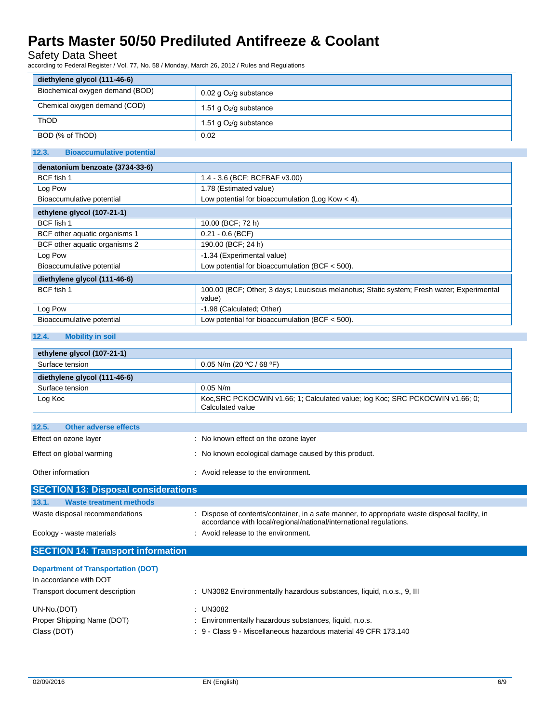### Safety Data Sheet

according to Federal Register / Vol. 77, No. 58 / Monday, March 26, 2012 / Rules and Regulations

| diethylene glycol (111-46-6)    |                           |
|---------------------------------|---------------------------|
| Biochemical oxygen demand (BOD) | 0.02 g $O_2$ /g substance |
| Chemical oxygen demand (COD)    | 1.51 g $O_2$ /g substance |
| <b>ThOD</b>                     | 1.51 g $O_2$ /g substance |
| BOD (% of ThOD)                 | 0.02                      |

### **12.3. Bioaccumulative potential**

| denatonium benzoate (3734-33-6) |                                                                                                     |  |
|---------------------------------|-----------------------------------------------------------------------------------------------------|--|
| BCF fish 1                      | 1.4 - 3.6 (BCF; BCFBAF v3.00)                                                                       |  |
| Log Pow                         | 1.78 (Estimated value)                                                                              |  |
| Bioaccumulative potential       | Low potential for bioaccumulation (Log Kow $<$ 4).                                                  |  |
| ethylene glycol (107-21-1)      |                                                                                                     |  |
| BCF fish 1                      | 10.00 (BCF; 72 h)                                                                                   |  |
| BCF other aquatic organisms 1   | $0.21 - 0.6$ (BCF)                                                                                  |  |
| BCF other aquatic organisms 2   | 190.00 (BCF; 24 h)                                                                                  |  |
| Log Pow                         | -1.34 (Experimental value)                                                                          |  |
| Bioaccumulative potential       | Low potential for bioaccumulation (BCF $<$ 500).                                                    |  |
| diethylene glycol (111-46-6)    |                                                                                                     |  |
| BCF fish 1                      | 100.00 (BCF; Other; 3 days; Leuciscus melanotus; Static system; Fresh water; Experimental<br>value) |  |
| Log Pow                         | -1.98 (Calculated: Other)                                                                           |  |
| Bioaccumulative potential       | Low potential for bioaccumulation (BCF $<$ 500).                                                    |  |

### **12.4. Mobility in soil**

| ethylene glycol (107-21-1)                 |                                                                                                                                                                   |
|--------------------------------------------|-------------------------------------------------------------------------------------------------------------------------------------------------------------------|
| Surface tension                            | 0.05 N/m (20 °C / 68 °F)                                                                                                                                          |
| diethylene glycol (111-46-6)               |                                                                                                                                                                   |
| Surface tension                            | $0.05$ N/m                                                                                                                                                        |
| Log Koc                                    | Koc, SRC PCKOCWIN v1.66; 1; Calculated value; log Koc; SRC PCKOCWIN v1.66; 0;<br>Calculated value                                                                 |
| <b>Other adverse effects</b><br>12.5.      |                                                                                                                                                                   |
| Effect on ozone layer                      | : No known effect on the ozone layer                                                                                                                              |
| Effect on global warming                   | : No known ecological damage caused by this product.                                                                                                              |
| Other information                          | : Avoid release to the environment.                                                                                                                               |
| <b>SECTION 13: Disposal considerations</b> |                                                                                                                                                                   |
| 13.1.<br><b>Waste treatment methods</b>    |                                                                                                                                                                   |
| Waste disposal recommendations             | Dispose of contents/container, in a safe manner, to appropriate waste disposal facility, in<br>accordance with local/regional/national/international regulations. |
| Ecology - waste materials                  | : Avoid release to the environment.                                                                                                                               |
| <b>SECTION 14: Transport information</b>   |                                                                                                                                                                   |

| <b>Department of Transportation (DOT)</b> |                                                                       |
|-------------------------------------------|-----------------------------------------------------------------------|
| In accordance with DOT                    |                                                                       |
| Transport document description            | : UN3082 Environmentally hazardous substances, liquid, n.o.s., 9, III |
| UN-No.(DOT)                               | : UN3082                                                              |
| Proper Shipping Name (DOT)                | : Environmentally hazardous substances, liquid, n.o.s.                |
| Class (DOT)                               | : 9 - Class 9 - Miscellaneous hazardous material 49 CFR 173.140       |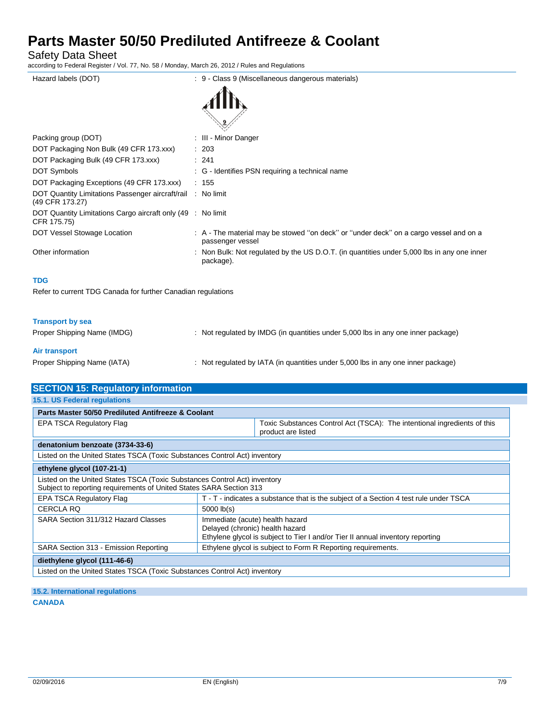Safety Data Sheet

according to Federal Register / Vol. 77, No. 58 / Monday, March 26, 2012 / Rules and Regulations

| Hazard labels (DOT)                                                            | : 9 - Class 9 (Miscellaneous dangerous materials)                                                         |
|--------------------------------------------------------------------------------|-----------------------------------------------------------------------------------------------------------|
|                                                                                |                                                                                                           |
| Packing group (DOT)                                                            | : III - Minor Danger                                                                                      |
| DOT Packaging Non Bulk (49 CFR 173.xxx)                                        | : 203                                                                                                     |
| DOT Packaging Bulk (49 CFR 173.xxx)                                            | : 241                                                                                                     |
| <b>DOT Symbols</b>                                                             | : G - Identifies PSN requiring a technical name                                                           |
| DOT Packaging Exceptions (49 CFR 173.xxx)                                      | : 155                                                                                                     |
| DOT Quantity Limitations Passenger aircraft/rail : No limit<br>(49 CFR 173.27) |                                                                                                           |
| DOT Quantity Limitations Cargo aircraft only (49 : No limit<br>CFR 175.75)     |                                                                                                           |
| DOT Vessel Stowage Location                                                    | : A - The material may be stowed "on deck" or "under deck" on a cargo vessel and on a<br>passenger vessel |
| Other information                                                              | : Non Bulk: Not regulated by the US D.O.T. (in quantities under 5,000 lbs in any one inner<br>package).   |
| <b>TDG</b>                                                                     |                                                                                                           |
| Refer to current TDG Canada for further Canadian regulations                   |                                                                                                           |
|                                                                                |                                                                                                           |

### **Transport by sea**

| Proper Shipping Name (IMDG) | : Not regulated by IMDG (in quantities under 5,000 lbs in any one inner package) |
|-----------------------------|----------------------------------------------------------------------------------|
| Air transport               |                                                                                  |
| Proper Shipping Name (IATA) | : Not regulated by IATA (in quantities under 5,000 lbs in any one inner package) |

| <b>SECTION 15: Regulatory information</b>                                                                                                        |                                                                                                                                                      |  |  |
|--------------------------------------------------------------------------------------------------------------------------------------------------|------------------------------------------------------------------------------------------------------------------------------------------------------|--|--|
| 15.1. US Federal regulations                                                                                                                     |                                                                                                                                                      |  |  |
| Parts Master 50/50 Prediluted Antifreeze & Coolant                                                                                               |                                                                                                                                                      |  |  |
| <b>EPA TSCA Regulatory Flag</b>                                                                                                                  | Toxic Substances Control Act (TSCA): The intentional ingredients of this<br>product are listed                                                       |  |  |
| denatonium benzoate (3734-33-6)                                                                                                                  |                                                                                                                                                      |  |  |
| Listed on the United States TSCA (Toxic Substances Control Act) inventory                                                                        |                                                                                                                                                      |  |  |
| ethylene glycol (107-21-1)                                                                                                                       |                                                                                                                                                      |  |  |
| Listed on the United States TSCA (Toxic Substances Control Act) inventory<br>Subject to reporting requirements of United States SARA Section 313 |                                                                                                                                                      |  |  |
| <b>EPA TSCA Regulatory Flag</b>                                                                                                                  | T - T - indicates a substance that is the subject of a Section 4 test rule under TSCA                                                                |  |  |
| <b>CERCLA RQ</b>                                                                                                                                 | $5000$ $lb(s)$                                                                                                                                       |  |  |
| SARA Section 311/312 Hazard Classes                                                                                                              | Immediate (acute) health hazard<br>Delayed (chronic) health hazard<br>Ethylene glycol is subject to Tier I and/or Tier II annual inventory reporting |  |  |
| SARA Section 313 - Emission Reporting                                                                                                            | Ethylene glycol is subject to Form R Reporting requirements.                                                                                         |  |  |
| diethylene glycol (111-46-6)                                                                                                                     |                                                                                                                                                      |  |  |
| Listed on the United States TSCA (Toxic Substances Control Act) inventory                                                                        |                                                                                                                                                      |  |  |

**15.2. International regulations CANADA**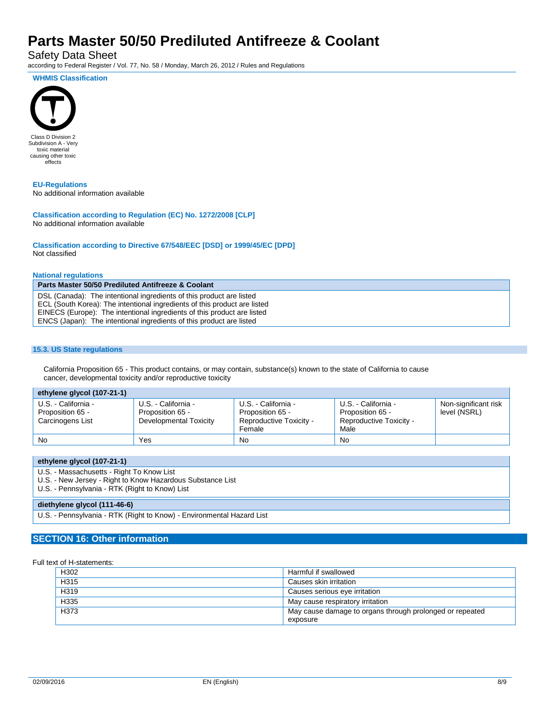Safety Data Sheet

according to Federal Register / Vol. 77, No. 58 / Monday, March 26, 2012 / Rules and Regulations

**WHMIS Classification**



**EU-Regulations** No additional information available

**Classification according to Regulation (EC) No. 1272/2008 [CLP]** No additional information available

**Classification according to Directive 67/548/EEC [DSD] or 1999/45/EC [DPD]** Not classified

#### **National regulations**

**Parts Master 50/50 Prediluted Antifreeze & Coolant** DSL (Canada): The intentional ingredients of this product are listed ECL (South Korea): The intentional ingredients of this product are listed EINECS (Europe): The intentional ingredients of this product are listed ENCS (Japan): The intentional ingredients of this product are listed

#### **15.3. US State regulations**

California Proposition 65 - This product contains, or may contain, substance(s) known to the state of California to cause cancer, developmental toxicity and/or reproductive toxicity

| ethylene glycol (107-21-1)                                  |                                                                   |                                                                              |                                                                            |                                      |
|-------------------------------------------------------------|-------------------------------------------------------------------|------------------------------------------------------------------------------|----------------------------------------------------------------------------|--------------------------------------|
| U.S. - California -<br>Proposition 65 -<br>Carcinogens List | U.S. - California -<br>Proposition 65 -<br>Developmental Toxicity | U.S. - California -<br>Proposition 65 -<br>Reproductive Toxicity -<br>Female | U.S. - California -<br>Proposition 65 -<br>Reproductive Toxicity -<br>Male | Non-significant risk<br>level (NSRL) |
| No                                                          | Yes                                                               | No                                                                           | No                                                                         |                                      |

| ethylene glycol (107-21-1)                                                                                                                                |
|-----------------------------------------------------------------------------------------------------------------------------------------------------------|
| U.S. - Massachusetts - Right To Know List<br>U.S. - New Jersey - Right to Know Hazardous Substance List<br>U.S. - Pennsylvania - RTK (Right to Know) List |
| diethylene glycol (111-46-6)                                                                                                                              |
| U.S. - Pennsylvania - RTK (Right to Know) - Environmental Hazard List                                                                                     |

#### **SECTION 16: Other information**

#### Full text of H-statements:

| H302 | Harmful if swallowed                                     |
|------|----------------------------------------------------------|
| H315 | Causes skin irritation                                   |
| H319 | Causes serious eye irritation                            |
| H335 | May cause respiratory irritation                         |
| H373 | May cause damage to organs through prolonged or repeated |
|      | exposure                                                 |